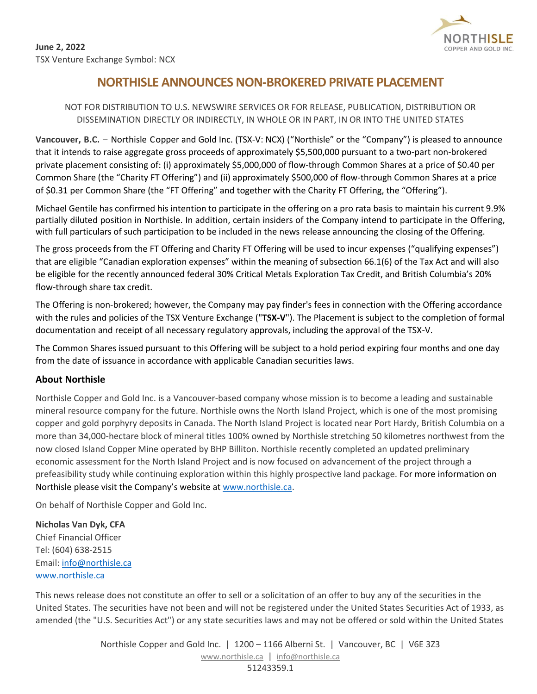

## **NORTHISLE ANNOUNCES NON-BROKERED PRIVATE PLACEMENT**

## NOT FOR DISTRIBUTION TO U.S. NEWSWIRE SERVICES OR FOR RELEASE, PUBLICATION, DISTRIBUTION OR DISSEMINATION DIRECTLY OR INDIRECTLY, IN WHOLE OR IN PART, IN OR INTO THE UNITED STATES

**Vancouver, B.C.** – Northisle Copper and Gold Inc. (TSX-V: NCX) ("Northisle" or the "Company") is pleased to announce that it intends to raise aggregate gross proceeds of approximately \$5,500,000 pursuant to a two-part non-brokered private placement consisting of: (i) approximately \$5,000,000 of flow-through Common Shares at a price of \$0.40 per Common Share (the "Charity FT Offering") and (ii) approximately \$500,000 of flow-through Common Shares at a price of \$0.31 per Common Share (the "FT Offering" and together with the Charity FT Offering, the "Offering").

Michael Gentile has confirmed his intention to participate in the offering on a pro rata basis to maintain his current 9.9% partially diluted position in Northisle. In addition, certain insiders of the Company intend to participate in the Offering, with full particulars of such participation to be included in the news release announcing the closing of the Offering.

The gross proceeds from the FT Offering and Charity FT Offering will be used to incur expenses ("qualifying expenses") that are eligible "Canadian exploration expenses" within the meaning of subsection 66.1(6) of the Tax Act and will also be eligible for the recently announced federal 30% Critical Metals Exploration Tax Credit, and British Columbia's 20% flow-through share tax credit.

The Offering is non-brokered; however, the Company may pay finder's fees in connection with the Offering accordance with the rules and policies of the TSX Venture Exchange ("**TSX-V**"). The Placement is subject to the completion of formal documentation and receipt of all necessary regulatory approvals, including the approval of the TSX-V.

The Common Shares issued pursuant to this Offering will be subject to a hold period expiring four months and one day from the date of issuance in accordance with applicable Canadian securities laws.

## **About Northisle**

Northisle Copper and Gold Inc. is a Vancouver-based company whose mission is to become a leading and sustainable mineral resource company for the future. Northisle owns the North Island Project, which is one of the most promising copper and gold porphyry deposits in Canada. The North Island Project is located near Port Hardy, British Columbia on a more than 34,000-hectare block of mineral titles 100% owned by Northisle stretching 50 kilometres northwest from the now closed Island Copper Mine operated by BHP Billiton. Northisle recently completed an updated preliminary economic assessment for the North Island Project and is now focused on advancement of the project through a prefeasibility study while continuing exploration within this highly prospective land package. For more information on Northisle please visit the Company's website at [www.northisle.ca.](http://www.northisle.ca/)

On behalf of Northisle Copper and Gold Inc.

**Nicholas Van Dyk, CFA** Chief Financial Officer Tel: (604) 638-2515 Email[: info@northisle.ca](mailto:info@northisle.ca) [www.northisle.ca](http://www.northisle.ca/)

This news release does not constitute an offer to sell or a solicitation of an offer to buy any of the securities in the United States. The securities have not been and will not be registered under the United States Securities Act of 1933, as amended (the "U.S. Securities Act") or any state securities laws and may not be offered or sold within the United States

> Northisle Copper and Gold Inc. | 1200 - 1166 Alberni St. | Vancouver, BC | V6E 3Z3 [www.northisle.ca](http://www.northisle.ca/) | [info@northisle.ca](mailto:info@northisle.ca) 51243359.1